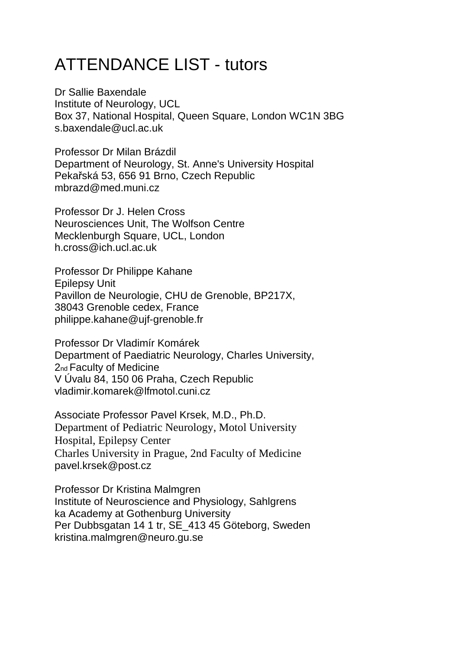## ATTENDANCE LIST - tutors

Dr Sallie Baxendale Institute of Neurology, UCL Box 37, National Hospital, Queen Square, London WC1N 3BG s.baxendale@ucl.ac.uk

Professor Dr Milan Brázdil Department of Neurology, St. Anne's University Hospital Pekařská 53, 656 91 Brno, Czech Republic mbrazd@med.muni.cz

Professor Dr J. Helen Cross Neurosciences Unit, The Wolfson Centre Mecklenburgh Square, UCL, London h.cross@ich.ucl.ac.uk

Professor Dr Philippe Kahane Epilepsy Unit Pavillon de Neurologie, CHU de Grenoble, BP217X, 38043 Grenoble cedex, France philippe.kahane@ujf-grenoble.fr

Professor Dr Vladimír Komárek Department of Paediatric Neurology, Charles University, 2nd Faculty of Medicine V Úvalu 84, 150 06 Praha, Czech Republic vladimir.komarek@lfmotol.cuni.cz

Associate Professor Pavel Krsek, M.D., Ph.D. Department of Pediatric Neurology, Motol University Hospital, Epilepsy Center Charles University in Prague, 2nd Faculty of Medicine pavel.krsek@post.cz

Professor Dr Kristina Malmgren Institute of Neuroscience and Physiology, Sahlgrens ka Academy at Gothenburg University Per Dubbsgatan 14 1 tr, SE\_413 45 Göteborg, Sweden kristina.malmgren@neuro.gu.se